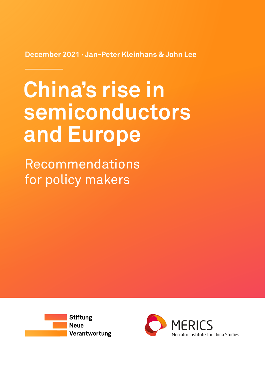**December 2021 ∙ Jan-Peter Kleinhans & John Lee**

# **China's rise in semiconductors and Europe**

Recommendations for policy makers



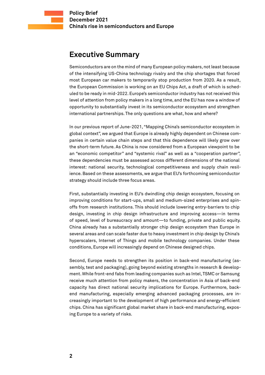## <span id="page-1-0"></span>**Executive Summary**

Semiconductors are on the mind of many European policy makers, not least because of the intensifying US-China technology rivalry and the chip shortages that forced most European car makers to temporarily stop production from 2020. As a result, the European Commission is working on an EU Chips Act, a draft of which is scheduled to be ready in mid-2022. Europe's semiconductor industry has not received this level of attention from policy makers in a long time, and the EU has now a window of opportunity to substantially invest in its semiconductor ecosystem and strengthen international partnerships. The only questions are what, how and where?

In our previous report of June-2021, "Mapping China's semiconductor ecosystem in global context", we argued that Europe is already highly dependent on Chinese companies in certain value chain steps and that this dependence will likely grow over the short-term future. As China is now considered from a European viewpoint to be an "economic competitor" and "systemic rival" as well as a "cooperation partner", these dependencies must be assessed across different dimensions of the national interest: national security, technological competitiveness and supply chain resilience. Based on these assessments, we argue that EU's forthcoming semiconductor strategy should include three focus areas.

First, substantially investing in EU's dwindling chip design ecosystem, focusing on improving conditions for start-ups, small and medium-sized enterprises and spinoffs from research institutions. This should include lowering entry-barriers to chip design, investing in chip design infrastructure and improving access—in terms of speed, level of bureaucracy and amount—to funding, private and public equity. China already has a substantially stronger chip design ecosystem than Europe in several areas and can scale faster due to heavy investment in chip design by China's hyperscalers, Internet of Things and mobile technology companies. Under these conditions, Europe will increasingly depend on Chinese designed chips.

Second, Europe needs to strengthen its position in back-end manufacturing (assembly, test and packaging), going beyond existing strengths in research & development. While front-end fabs from leading companies such as Intel, TSMC or Samsung receive much attention from policy makers, the concentration in Asia of back-end capacity has direct national security implications for Europe. Furthermore, backend manufacturing, especially emerging advanced packaging processes, are increasingly important to the development of high performance and energy-efficient chips. China has significant global market share in back-end manufacturing, exposing Europe to a variety of risks.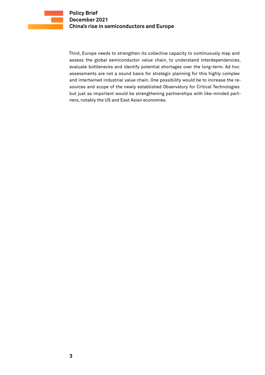Third, Europe needs to strengthen its collective capacity to continuously map and assess the global semiconductor value chain, to understand interdependencies, evaluate bottlenecks and identify potential shortages over the long-term. Ad hoc assessments are not a sound basis for strategic planning for this highly complex and intertwined industrial value chain. One possibility would be to increase the resources and scope of the newly established Observatory for Critical Technologies but just as important would be strengthening partnerships with like-minded partners, notably the US and East Asian economies.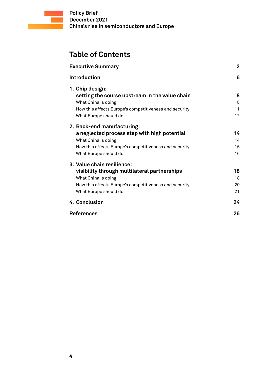# **Table of Contents**

| <b>Executive Summary</b>                                          | $\overline{2}$ |
|-------------------------------------------------------------------|----------------|
| Introduction                                                      | 6              |
| 1. Chip design:<br>setting the course upstream in the value chain | 8              |
| What China is doing                                               | 8              |
| How this affects Europe's competitiveness and security            | 11             |
| What Europe should do                                             | 12             |
| 2. Back-end manufacturing:                                        |                |
| a neglected process step with high potential                      | 14             |
| What China is doing                                               | 14             |
| How this affects Europe's competitiveness and security            | 16             |
| What Europe should do                                             | 16             |
| 3. Value chain resilience:                                        |                |
| visibility through multilateral partnerships                      | 18             |
| What China is doing                                               | 18             |
| How this affects Europe's competitiveness and security            | 20             |
| What Europe should do                                             | 21             |
| 4. Conclusion                                                     | 24             |
| <b>References</b>                                                 | 26             |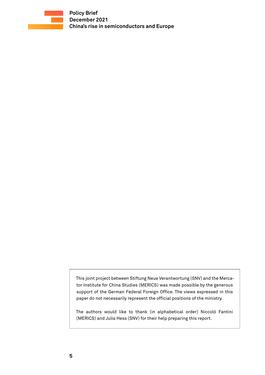

This joint project between Stiftung Neue Verantwortung (SNV) and the Mercator Institute for China Studies (MERICS) was made possible by the generous support of the German Federal Foreign Office. The views expressed in this paper do not necessarily represent the official positions of the ministry.

The authors would like to thank (in alphabetical order) Niccolò Fantini ( MERICS) and Julia Hess (SNV) for their help preparing this report.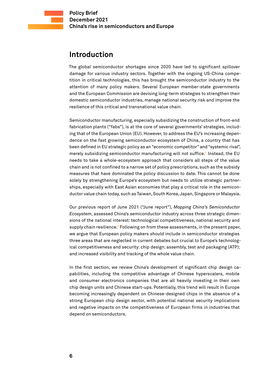## <span id="page-5-0"></span>**Introduction**

The global semiconductor shortages since 2020 have led to significant spillover damage for various industry sectors. Together with the ongoing US-China competition in critical technologies, this has brought the semiconductor industry to the attention of many policy makers. Several European member-state governments and the European Commission are devising long-term strategies to strengthen their domestic semiconductor industries, manage national security risk and improve the resilience of this critical and transnational value chain.

Semiconductor manufacturing, especially subsidizing the construction of front-end fabrication plants ("fabs"), is at the core of several governments' strategies, including that of the European Union (EU). However, to address the EU's increasing dependence on the fast growing semiconductor ecosystem of China, a country that has been defined in EU strategic policy as an "economic competitor" and "systemic rival", merely subsidizing semiconductor manufacturing will not suffice.**<sup>1</sup>** Instead, the EU needs to take a whole-ecosystem approach that considers all steps of the value chain and is not confined to a narrow set of policy prescriptions, such as the subsidy measures that have dominated the policy discussion to date. This cannot be done solely by strengthening Europe's ecosystem but needs to utilize strategic partnerships, especially with East Asian economies that play a critical role in the semiconductor value chain today, such as Taiwan, South Korea, Japan, Singapore or Malaysia.

Our previous report of June 2021 ("June report"), *Mapping China's Semiconductor Ecosystem*, assessed China's semiconductor industry across three strategic dimensions of the national interest: technological competitiveness, national security and supply chain resilience.**<sup>2</sup>** Following on from these assessments, in the present paper, we argue that European policy makers should include in semiconductor strategies three areas that are neglected in current debates but crucial to Europe's technological competitiveness and security: chip design; assembly, test and packaging (ATP); and increased visibility and tracking of the whole value chain.

In the first section, we review China's development of significant chip design capabilities, including the competitive advantage of Chinese hyperscalers, mobile and consumer electronics companies that are all heavily investing in their own chip design units and Chinese start-ups. Potentially, this trend will result in Europe becoming increasingly dependent on Chinese-designed chips in the absence of a strong European chip design sector, with potential national security implications and negative impacts on the competitiveness of European firms in industries that depend on semiconductors.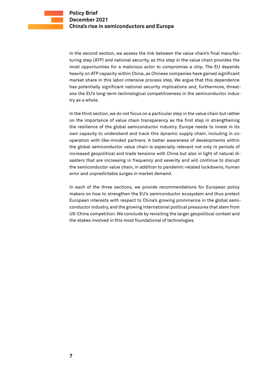In the second section, we assess the link between the value chain's final manufacturing step (ATP) and national security, as this step in the value chain provides the most opportunities for a malicious actor to compromise a chip. The EU depends heavily on ATP capacity within China, as Chinese companies have gained significant market share in this labor-intensive process step. We argue that this dependence has potentially significant national security implications and, furthermore, threatens the EU's long-term technological competitiveness in the semiconductor industry as a whole.

In the third section, we do not focus on a particular step in the value chain but rather on the importance of value chain transparency as the first step in strengthening the resilience of the global semiconductor industry. Europe needs to invest in its own capacity to understand and track this dynamic supply chain, including in cooperation with like-minded partners. A better awareness of developments within the global semiconductor value chain is especially relevant not only in periods of increased geopolitical and trade tensions with China but also in light of natural disasters that are increasing in frequency and severity and will continue to disrupt the semiconductor value chain, in addition to pandemic-related lockdowns, human error and unpredictable surges in market demand.

In each of the three sections, we provide recommendations for European policy makers on how to strengthen the EU's semiconductor ecosystem and thus protect European interests with respect to China's growing prominence in the global semiconductor industry, and the growing international political pressures that stem from US-China competition. We conclude by revisiting the larger geopolitical context and the stakes involved in this most foundational of technologies.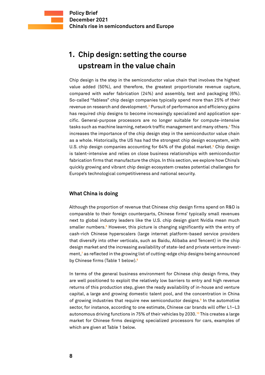# <span id="page-7-0"></span>**1. Chip design: setting the course upstream in the value chain**

Chip design is the step in the semiconductor value chain that involves the highest value added (50%), and therefore, the greatest proportionate revenue capture, compared with wafer fabrication (24%) and assembly, test and packaging (6%). So-called "fabless" chip design companies typically spend more than 25% of their revenue on research and development.<sup>3</sup> Pursuit of performance and efficiency gains has required chip designs to become increasingly specialized and application specific. General-purpose processors are no longer suitable for compute-intensive tasks such as machine learning, network traffic management and many others.<del>'</del> This increases the importance of the chip design step in the semiconductor value chain as a whole. Historically, the US has had the strongest chip design ecosystem, with U.S. chip design companies accounting for 64% of the global market.**<sup>5</sup>** Chip design is talent-intensive and relies on close business relationships with semiconductor fabrication firms that manufacture the chips. In this section, we explore how China's quickly growing and vibrant chip design ecosystem creates potential challenges for Europe's technological competitiveness and national security.

#### **What China is doing**

Although the proportion of revenue that Chinese chip design firms spend on R&D is comparable to their foreign counterparts, Chinese firms' typically small revenues next to global industry leaders like the U.S. chip design giant Nvidia mean much smaller numbers.<sup>6</sup> However, this picture is changing significantly with the entry of cash-rich Chinese hyperscalers (large internet platform-based service providers that diversify into other verticals, such as Baidu, Alibaba and Tencent) in the chip design market and the increasing availability of state-led and private venture investment,**<sup>7</sup>** as reflected in the growing list of cutting-edge chip designs being announced by Chinese firms (Table 1 below).**<sup>8</sup>**

In terms of the general business environment for Chinese chip design firms, they are well positioned to exploit the relatively low barriers to entry and high revenue returns of this production step, given the ready availability of in-house and venture capital, a large and growing domestic talent pool, and the concentration in China of growing industries that require new semiconductor designs.**<sup>9</sup>** In the automotive sector, for instance, according to one estimate, Chinese car brands will offer L1–L3 autonomous driving functions in 75% of their vehicles by 2030.**<sup>10</sup>** This creates a large market for Chinese firms designing specialized processors for cars, examples of which are given at Table 1 below.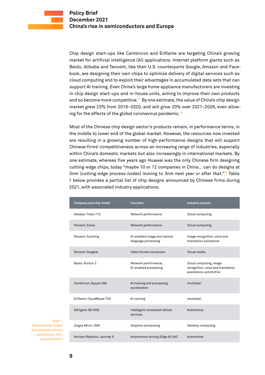Chip design start-ups like Cambricon and Enflame are targeting China's growing market for artificial intelligence (AI) applications. Internet platform giants such as Baidu, Alibaba and Tencent, like their U.S. counterparts Google, Amazon and Facebook, are designing their own chips to optimize delivery of digital services such as cloud computing and to exploit their advantages in accumulated data sets that can support AI training. Even China's large home appliance manufacturers are investing in chip design start-ups and in-house units, aiming to improve their own products and so become more competitive.**<sup>11</sup>** By one estimate, the value of China's chip design market grew 23% from 2019–2020, and will grow 20% over 2021–2026, even allowing for the effects of the global coronavirus pandemic.**<sup>12</sup>**

Most of the Chinese chip design sector's products remain, in performance terms, in the middle to lower end of the global market. However, the resources now invested are resulting in a growing number of high-performance designs that will support Chinese firms' competitiveness across an increasing range of industries, especially within China's domestic markets but also increasingly in international markets. By one estimate, whereas five years ago Huawei was the only Chinese firm designing cutting-edge chips, today "maybe 10 or 12 companies in China… can do designs at 5nm (cutting-edge process nodes) moving to 3nm next year or after that."**<sup>13</sup>** Table 1 below provides a partial list of chip designs announced by Chinese firms during 2021, with associated industry applications.

| Company and chip model      | <b>Function</b>                                     | <b>Industry sectors</b>                                                                |
|-----------------------------|-----------------------------------------------------|----------------------------------------------------------------------------------------|
| Alibaba: Yitian 710         | Network performance                                 | Cloud computing                                                                        |
| Tencent: Zixiao             | Network performance                                 | Cloud computing                                                                        |
| Tencent: Xuanling           | Al-enabled image and natural<br>language processing | Image recognition, voice and<br>translation assistance                                 |
| Tencent: Canghai            | Video format conversion                             | Visual media                                                                           |
| Baidu: Kunlun 2             | Network performance,<br>Al-enabled processing       | Cloud computing, image<br>recognition, voice and translation<br>assistance, automotive |
| Cambricon: Siyuan 290       | Al training and processing<br>acceleration          | (multiple)                                                                             |
| Enflame: CloudBlazer T20    | Al training                                         | (multiple)                                                                             |
| SiEngine: SE1000            | Intelligent connected vehicle<br>services           | Automotive                                                                             |
| Jingjia Micro: JM9          | Graphics processing                                 | Desktop computing                                                                      |
| Horizon Robotics: Journey 5 | Autonomous driving (Edge AI) SoC                    | Automotive                                                                             |

Table 1: Selected chip models and potential industry applications, 2021 announcements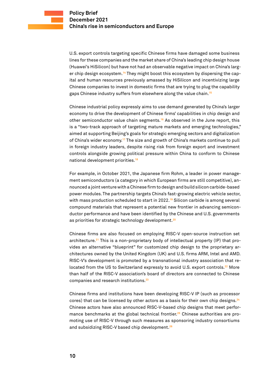U.S. export controls targeting specific Chinese firms have damaged some business lines for these companies and the market share of China's leading chip design house (Huawei's HiSilicon) but have not had an observable negative impact on China's larger chip design ecosystem.**14** They might boost this ecosystem by dispersing the capital and human resources previously amassed by HiSilicon and incentivizing large Chinese companies to invest in domestic firms that are trying to plug the capability gaps Chinese industry suffers from elsewhere along the value chain.**<sup>15</sup>**

Chinese industrial policy expressly aims to use demand generated by China's larger economy to drive the development of Chinese firms' capabilities in chip design and other semiconductor value chain segments.**<sup>16</sup>** As observed in the June report, this is a "two-track approach of targeting mature markets and emerging technologies," aimed at supporting Beijing's goals for strategic emerging sectors and digitalization of China's wider economy.**<sup>17</sup>** The size and growth of China's markets continue to pull in foreign industry leaders, despite rising risk from foreign export and investment controls alongside growing political pressure within China to conform to Chinese national development priorities.**<sup>18</sup>**

For example, in October 2021, the Japanese firm Rohm, a leader in power management semiconductors (a category in which European firms are still competitive), announced a joint venture with a Chinese firm to design and build silicon carbide-based power modules. The partnership targets China's fast-growing electric vehicle sector, with mass production scheduled to start in 2022.**<sup>19</sup>** Silicon carbide is among several compound materials that represent a potential new frontier in advancing semiconductor performance and have been identified by the Chinese and U.S. governments as priorities for strategic technology development.**<sup>20</sup>**

Chinese firms are also focused on employing RISC-V open-source instruction set architecture.**21** This is a non-proprietary body of intellectual property (IP) that provides an alternative "blueprint" for customized chip design to the proprietary architectures owned by the United Kingdom (UK) and U.S. firms ARM, Intel and AMD. RISC-V's development is promoted by a transnational industry association that relocated from the US to Switzerland expressly to avoid U.S. export controls.**<sup>22</sup>** More than half of the RISC-V association's board of directors are connected to Chinese companies and research institutions.**<sup>23</sup>**

Chinese firms and institutions have been developing RISC-V IP (such as processor cores) that can be licensed by other actors as a basis for their own chip designs.**<sup>24</sup>** Chinese actors have also announced RISC-V-based chip designs that meet performance benchmarks at the global technical frontier.**25** Chinese authorities are promoting use of RISC-V through such measures as sponsoring industry consortiums and subsidizing RISC-V based chip development.**26**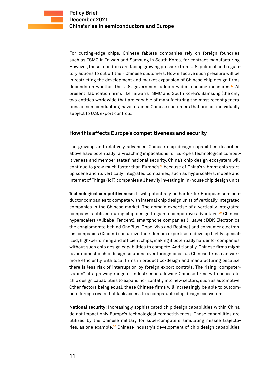<span id="page-10-0"></span>For cutting-edge chips, Chinese fabless companies rely on foreign foundries, such as TSMC in Taiwan and Samsung in South Korea, for contract manufacturing. However, these foundries are facing growing pressure from U.S. political and regulatory actions to cut off their Chinese customers. How effective such pressure will be in restricting the development and market expansion of Chinese chip design firms depends on whether the U.S. government adopts wider reaching measures.**<sup>27</sup>** At present, fabrication firms like Taiwan's TSMC and South Korea's Samsung (the only two entities worldwide that are capable of manufacturing the most recent generations of semiconductors) have retained Chinese customers that are not individually subject to U.S. export controls.

#### **How this affects Europe's competitiveness and security**

The growing and relatively advanced Chinese chip design capabilities described above have potentially far-reaching implications for Europe's technological competitiveness and member states' national security. China's chip design ecosystem will continue to grow much faster than Europe's**28** because of China's vibrant chip startup scene and its vertically integrated companies, such as hyperscalers, mobile and Internet of Things (IoT) companies all heavily investing in in-house chip design units.

**Technological competitiveness:** It will potentially be harder for European semiconductor companies to compete with internal chip design units of vertically integrated companies in the Chinese market. The domain expertise of a vertically integrated company is utilized during chip design to gain a competitive advantage.**<sup>29</sup>** Chinese hyperscalers (Alibaba, Tencent), smartphone companies (Huawei; BBK Electronics, the conglomerate behind OnePlus, Oppo, Vivo and Realme) and consumer electronics companies (Xiaomi) can utilize their domain expertise to develop highly specialized, high-performing and efficient chips, making it potentially harder for companies without such chip design capabilities to compete. Additionally, Chinese firms might favor domestic chip design solutions over foreign ones, as Chinese firms can work more efficiently with local firms in product co-design and manufacturing because there is less risk of interruption by foreign export controls. The rising "computerization" of a growing range of industries is allowing Chinese firms with access to chip design capabilities to expand horizontally into new sectors, such as automotive. Other factors being equal, these Chinese firms will increasingly be able to outcompete foreign rivals that lack access to a comparable chip design ecosystem.

**National security:** Increasingly sophisticated chip design capabilities within China do not impact only Europe's technological competitiveness. Those capabilities are utilized by the Chinese military for supercomputers simulating missile trajectories, as one example.**30** Chinese industry's development of chip design capabilities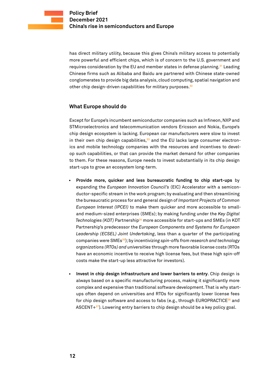<span id="page-11-0"></span>has direct military utility, because this gives China's military access to potentially more powerful and efficient chips, which is of concern to the U.S. government and requires consideration by the EU and member states in defense planning.**<sup>31</sup>** Leading Chinese firms such as Alibaba and Baidu are partnered with Chinese state-owned conglomerates to provide big data analysis, cloud computing, spatial navigation and other chip design-driven capabilities for military purposes.**<sup>32</sup>**

#### **What Europe should do**

Except for Europe's incumbent semiconductor companies such as Infineon, NXP and STMicroelectronics and telecommunication vendors Ericsson and Nokia, Europe's chip design ecosystem is lacking. European car manufacturers were slow to invest in their own chip design capabilities,**33** and the EU lacks large consumer electronics and mobile technology companies with the resources and incentives to develop such capabilities, or that can provide the market demand for other companies to them. For these reasons, Europe needs to invest substantially in its chip design start-ups to grow an ecosystem long-term.

- **• Provide more, quicker and less bureaucratic funding to chip start-ups** by expanding the *European Innovation Council's* (EIC) Accelerator with a semiconductor-specific stream in the work program; by evaluating and then streamlining the bureaucratic process for and general design of *Important Projects of Common European Interest (IPCEI)* to make them quicker and more accessible to smalland medium-sized enterprises (SMEs); by making funding under the *Key Digital Technologies (KDT)* Partnership**<sup>34</sup>** more accessible for start-ups and SMEs (in KDT Partnership's predecessor the *European Components and Systems for European Leadership (ECSEL) Joint Undertaking*, less than a quarter of the participating companies were SMEs**<sup>35</sup>**); by i*ncentivizing spin-offs from research and technology organizations (RTOs) and universities* through more favorable license costs (RTOs have an economic incentive to receive high license fees, but these high spin-off costs make the start-up less attractive for investors).
- **• Invest in chip design infrastructure and lower barriers to entry**. Chip design is always based on a specific manufacturing process, making it significantly more complex and expensive than traditional software development. That is why startups often depend on universities and RTOs for significantly lower license fees for chip design software and access to fabs (e.g., through EUROPRACTICE**<sup>36</sup>** and ASCENT+**37**). Lowering entry barriers to chip design should be a key policy goal.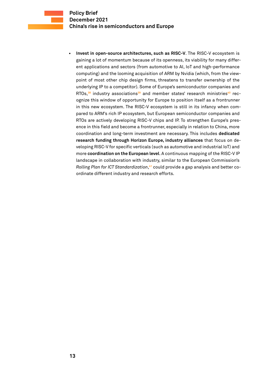**• Invest in open-source architectures, such as RISC-V**. The RISC-V ecosystem is gaining a lot of momentum because of its openness, its viability for many different applications and sectors (from automotive to AI, IoT and high-performance computing) and the looming acquisition of ARM by Nvidia (which, from the viewpoint of most other chip design firms, threatens to transfer ownership of the underlying IP to a competitor). Some of Europe's semiconductor companies and RTOs,**38** industry associations**39** and member states' research ministries**40** recognize this window of opportunity for Europe to position itself as a frontrunner in this new ecosystem. The RISC-V ecosystem is still in its infancy when compared to ARM's rich IP ecosystem, but European semiconductor companies and RTOs are actively developing RISC-V chips and IP. To strengthen Europe's presence in this field and become a frontrunner, especially in relation to China, more coordination and long-term investment are necessary. This includes **dedicated research funding through Horizon Europe, industry alliances** that focus on developing RISC-V for specific verticals (such as automotive and industrial IoT) and more **coordination on the European level**. A continuous mapping of the RISC-V IP landscape in collaboration with industry, similar to the European Commission's *Rolling Plan for ICT Standardization*, **41** could provide a gap analysis and better coordinate different industry and research efforts.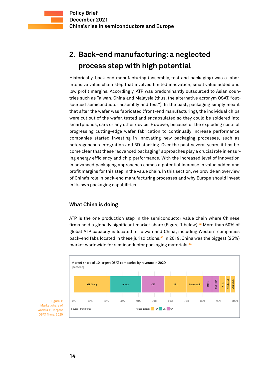# <span id="page-13-0"></span>**2. Back-end manufacturing: a neglected process step with high potential**

Historically, back-end manufacturing (assembly, test and packaging) was a laborintensive value chain step that involved limited innovation, small value added and low profit margins. Accordingly, ATP was predominantly outsourced to Asian countries such as Taiwan, China and Malaysia (thus, the alternative acronym OSAT, "outsourced semiconductor assembly and test"). In the past, packaging simply meant that after the wafer was fabricated (front-end manufacturing), the individual chips were cut out of the wafer, tested and encapsulated so they could be soldered into smartphones, cars or any other device. However, because of the exploding costs of progressing cutting-edge wafer fabrication to continually increase performance, companies started investing in innovating new packaging processes, such as heterogeneous integration and 3D stacking. Over the past several years, it has become clear that these "advanced packaging" approaches play a crucial role in ensuring energy efficiency and chip performance. With the increased level of innovation in advanced packaging approaches comes a potential increase in value added and profit margins for this step in the value chain. In this section, we provide an overview of China's role in back-end manufacturing processes and why Europe should invest in its own packaging capabilities.

#### **What China is doing**

ATP is the one production step in the semiconductor value chain where Chinese firms hold a globally significant market share (Figure 1 below).**<sup>42</sup>** More than 60% of global ATP capacity is located in Taiwan and China, including Western companies' back-end fabs located in these jurisdictions.**<sup>43</sup>** In 2019, China was the biggest (25%) market worldwide for semiconductor packaging materials.**<sup>44</sup>**



Figure 1: Market share of world's 10 largest OSAT firms, 2020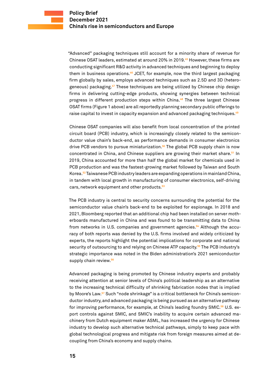"Advanced" packaging techniques still account for a minority share of revenue for Chinese OSAT leaders, estimated at around 20% in 2019.**<sup>45</sup>** However, these firms are conducting significant R&D activity in advanced techniques and beginning to deploy them in business operations.**<sup>46</sup>** JCET, for example, now the third largest packaging firm globally by sales, employs advanced techniques such as 2.5D and 3D (heterogeneous) packaging.**<sup>47</sup>** These techniques are being utilized by Chinese chip design firms in delivering cutting-edge products, showing synergies between technical progress in different production steps within China.**<sup>48</sup>** The three largest Chinese OSAT firms (Figure 1 above) are all reportedly planning secondary public offerings to raise capital to invest in capacity expansion and advanced packaging techniques.**<sup>49</sup>**

Chinese OSAT companies will also benefit from local concentration of the printed circuit board (PCB) industry, which is increasingly closely related to the semiconductor value chain's back-end, as performance demands in consumer electronics drive PCB vendors to pursue miniaturization.**<sup>50</sup>** The global PCB supply chain is now concentrated in China, and Chinese suppliers are growing their market share.**<sup>51</sup>** In 2019, China accounted for more than half the global market for chemicals used in PCB production and was the fastest-growing market followed by Taiwan and South Korea.**<sup>52</sup>** Taiwanese PCB industry leaders are expanding operations in mainland China, in tandem with local growth in manufacturing of consumer electronics, self-driving cars, network equipment and other products.**<sup>53</sup>**

The PCB industry is central to security concerns surrounding the potential for the semiconductor value chain's back-end to be exploited for espionage. In 2018 and 2021, Bloomberg reported that an additional chip had been installed on server motherboards manufactured in China and was found to be transmitting data to China from networks in U.S. companies and government agencies.**54** Although the accuracy of both reports was denied by the U.S. firms involved and widely criticized by experts, the reports highlight the potential implications for corporate and national security of outsourcing to and relying on Chinese ATP capacity.**<sup>55</sup>** The PCB industry's strategic importance was noted in the Biden administration's 2021 semiconductor supply chain review.**<sup>56</sup>**

Advanced packaging is being promoted by Chinese industry experts and probably receiving attention at senior levels of China's political leadership as an alternative to the increasing technical difficulty of shrinking fabrication nodes that is implied by Moore's Law.**57** Such "node shrinkage" is a critical bottleneck for China's semiconductor industry, and advanced packaging is being pursued as an alternative pathway for improving performance, for example, at China's leading foundry SMIC.**58** U.S. export controls against SMIC, and SMIC's inability to acquire certain advanced machinery from Dutch equipment maker ASML, has increased the urgency for Chinese industry to develop such alternative technical pathways, simply to keep pace with global technological progress and mitigate risk from foreign measures aimed at decoupling from China's economy and supply chains.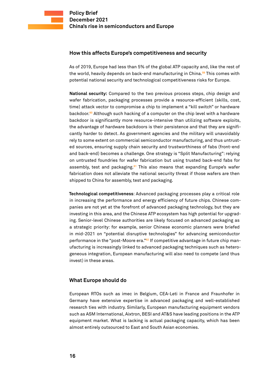#### <span id="page-15-0"></span>**How this affects Europe's competitiveness and security**

As of 2019, Europe had less than 5% of the global ATP capacity and, like the rest of the world, heavily depends on back-end manufacturing in China.**<sup>59</sup>** This comes with potential national security and technological competitiveness risks for Europe.

**National security:** Compared to the two previous process steps, chip design and wafer fabrication, packaging processes provide a resource-efficient (skills, cost, time) attack vector to compromise a chip to implement a "kill switch" or hardware backdoor.**<sup>60</sup>** Although such hacking of a computer on the chip level with a hardware backdoor is significantly more resource-intensive than utilizing software exploits, the advantage of hardware backdoors is their persistence and that they are significantly harder to detect. As government agencies and the military will unavoidably rely to some extent on commercial semiconductor manufacturing, and thus untrusted sources, ensuring supply chain security and trustworthiness of fabs (front-end and back-end) becomes a challenge. One strategy is "Split Manufacturing": relying on untrusted foundries for wafer fabrication but using trusted back-end fabs for assembly, test and packaging.**<sup>61</sup>** This also means that expanding Europe's wafer fabrication does not alleviate the national security threat if those wafers are then shipped to China for assembly, test and packaging.

**Technological competitiveness**: Advanced packaging processes play a critical role in increasing the performance and energy efficiency of future chips. Chinese companies are not yet at the forefront of advanced packaging technology, but they are investing in this area, and the Chinese ATP ecosystem has high potential for upgrading. Senior-level Chinese authorities are likely focused on advanced packaging as a strategic priority: for example, senior Chinese economic planners were briefed in mid-2021 on "potential disruptive technologies" for advancing semiconductor performance in the "post-Moore era."**62** If competitive advantage in future chip manufacturing is increasingly linked to advanced packaging techniques such as heterogeneous integration, European manufacturing will also need to compete (and thus invest) in these areas.

#### **What Europe should do**

European RTOs such as imec in Belgium, CEA-Leti in France and Fraunhofer in Germany have extensive expertise in advanced packaging and well-established research ties with industry. Similarly, European manufacturing equipment vendors such as ASM International, Aixtron, BESI and AT&S have leading positions in the ATP equipment market. What is lacking is actual packaging capacity, which has been almost entirely outsourced to East and South Asian economies.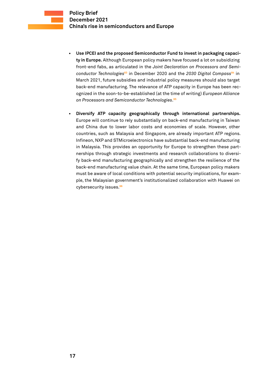- **• Use IPCEI and the proposed Semiconductor Fund to invest in packaging capacity in Europe.** Although European policy makers have focused a lot on subsidizing front-end fabs, as articulated in the *Joint Declaration on Processors and Semiconductor Technologies***<sup>63</sup>** in December 2020 and the *2030 Digital Compass***<sup>64</sup>** in March 2021, future subsidies and industrial policy measures should also target back-end manufacturing. The relevance of ATP capacity in Europe has been recognized in the soon-to-be-established (at the time of writing) *European Alliance on Processors and Semiconductor Technologies*. **65**
- **• Diversify ATP capacity geographically through international partnerships.** Europe will continue to rely substantially on back-end manufacturing in Taiwan and China due to lower labor costs and economies of scale. However, other countries, such as Malaysia and Singapore, are already important ATP regions. Infineon, NXP and STMicroelectronics have substantial back-end manufacturing in Malaysia. This provides an opportunity for Europe to strengthen these partnerships through strategic investments and research collaborations to diversify back-end manufacturing geographically and strengthen the resilience of the back-end manufacturing value chain. At the same time, European policy makers must be aware of local conditions with potential security implications, for example, the Malaysian government's institutionalized collaboration with Huawei on cybersecurity issues.**66**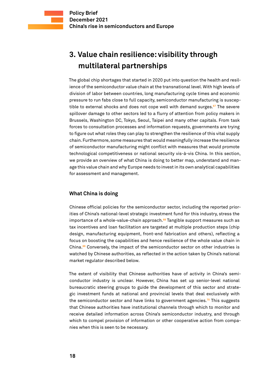# <span id="page-17-0"></span>**3. Value chain resilience: visibility through multilateral partnerships**

The global chip shortages that started in 2020 put into question the health and resilience of the semiconductor value chain at the transnational level. With high levels of division of labor between countries, long manufacturing cycle times and economic pressure to run fabs close to full capacity, semiconductor manufacturing is susceptible to external shocks and does not cope well with demand surges.**<sup>67</sup>** The severe spillover damage to other sectors led to a flurry of attention from policy makers in Brussels, Washington DC, Tokyo, Seoul, Taipei and many other capitals. From task forces to consultation processes and information requests, governments are trying to figure out what roles they can play to strengthen the resilience of this vital supply chain. Furthermore, some measures that would meaningfully increase the resilience of semiconductor manufacturing might conflict with measures that would promote technological competitiveness or national security vis-à-vis China. In this section, we provide an overview of what China is doing to better map, understand and manage this value chain and why Europe needs to invest in its own analytical capabilities for assessment and management.

#### **What China is doing**

Chinese official policies for the semiconductor sector, including the reported priorities of China's national-level strategic investment fund for this industry, stress the importance of a whole-value-chain approach.**<sup>68</sup>** Tangible support measures such as tax incentives and loan facilitation are targeted at multiple production steps (chip design, manufacturing equipment, front-end fabrication and others), reflecting a focus on boosting the capabilities and hence resilience of the whole value chain in China.**<sup>69</sup>** Conversely, the impact of the semiconductor sector on other industries is watched by Chinese authorities, as reflected in the action taken by China's national market regulator described below.

The extent of visibility that Chinese authorities have of activity in China's semiconductor industry is unclear. However, China has set up senior-level national bureaucratic steering groups to guide the development of this sector and strategic investment funds at national and provincial levels that deal exclusively with the semiconductor sector and have links to government agencies.**<sup>70</sup>** This suggests that Chinese authorities have institutional channels through which to monitor and receive detailed information across China's semiconductor industry, and through which to compel provision of information or other cooperative action from companies when this is seen to be necessary.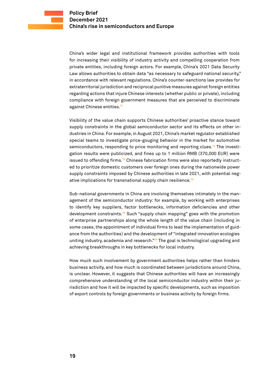China's wider legal and institutional framework provides authorities with tools for increasing their visibility of industry activity and compelling cooperation from private entities, including foreign actors. For example, China's 2021 Data Security Law allows authorities to obtain data "as necessary to safeguard national security," in accordance with relevant regulations. China's counter-sanctions law provides for extraterritorial jurisdiction and reciprocal punitive measures against foreign entities regarding actions that injure Chinese interests (whether public or private), including compliance with foreign government measures that are perceived to discriminate against Chinese entities.**<sup>71</sup>**

Visibility of the value chain supports Chinese authorities' proactive stance toward supply constraints in the global semiconductor sector and its effects on other industries in China. For example, in August 2021, China's market regulator established special teams to investigate price-gouging behavior in the market for automotive semiconductors, responding to price monitoring and reporting clues.**72** The investigation results were publicized, and fines up to 1 million RMB (370,000 EUR) were issued to offending firms.**73** Chinese fabrication firms were also reportedly instructed to prioritize domestic customers over foreign ones during the nationwide power supply constraints imposed by Chinese authorities in late 2021, with potential negative implications for transnational supply chain resilience.**<sup>74</sup>**

Sub-national governments in China are involving themselves intimately in the management of the semiconductor industry: for example, by working with enterprises to identify key suppliers, factor bottlenecks, information deficiencies and other development constraints.**<sup>75</sup>** Such "supply chain mapping" goes with the promotion of enterprise partnerships along the whole length of the value chain (including in some cases, the appointment of individual firms to lead the implementation of guidance from the authorities) and the development of "integrated innovation ecologies uniting industry, academia and research."**<sup>76</sup>** The goal is technological upgrading and achieving breakthroughs in key bottlenecks for local industry.

How much such involvement by government authorities helps rather than hinders business activity, and how much is coordinated between jurisdictions around China, is unclear. However, it suggests that Chinese authorities will have an increasingly comprehensive understanding of the local semiconductor industry within their jurisdiction and how it will be impacted by specific developments, such as imposition of export controls by foreign governments or business activity by foreign firms.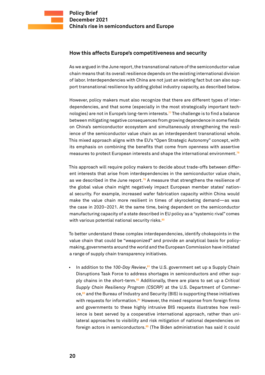#### <span id="page-19-0"></span>**How this affects Europe's competitiveness and security**

As we argued in the June report, the transnational nature of the semiconductor value chain means that its overall resilience depends on the existing international division of labor. Interdependencies with China are not just an existing fact but can also support transnational resilience by adding global industry capacity, as described below.

However, policy makers must also recognize that there are different types of interdependencies, and that some (especially in the most strategically important technologies) are not in Europe's long-term interests.**<sup>77</sup>** The challenge is to find a balance between mitigating negative consequences from growing dependence in some fields on China's semiconductor ecosystem and simultaneously strengthening the resilience of the semiconductor value chain as an interdependent transnational whole. This mixed approach aligns with the EU's "Open Strategic Autonomy" concept, with its emphasis on combining the benefits that come from openness with assertive measures to protect European interests and shape the international environment.**<sup>78</sup>**

This approach will require policy makers to decide about trade-offs between different interests that arise from interdependencies in the semiconductor value chain, as we described in the June report.**<sup>79</sup>** A measure that strengthens the resilience of the global value chain might negatively impact European member states' national security. For example, increased wafer fabrication capacity within China would make the value chain more resilient in times of skyrocketing demand—as was the case in 2020–2021. At the same time, being dependent on the semiconductor manufacturing capacity of a state described in EU policy as a "systemic rival" comes with various potential national security risks.**<sup>80</sup>**

To better understand these complex interdependencies, identify chokepoints in the value chain that could be "weaponized" and provide an analytical basis for policymaking, governments around the world and the European Commission have initiated a range of supply chain transparency initiatives.

• In addition to the 100-Day Review,<sup>81</sup> the U.S. government set up a Supply Chain Disruptions Task Force to address shortages in semiconductors and other supply chains in the short-term.**<sup>82</sup>** Additionally, there are plans to set up a *Critical Supply Chain Resiliency Program (CSCRP)* at the U.S. Department of Commerce,**<sup>83</sup>** and the Bureau of Industry and Security (BIS) is supporting these initiatives with requests for information.**<sup>84</sup>** However, the mixed response from foreign firms and governments to these highly intrusive BIS requests illustrates how resilience is best served by a cooperative international approach, rather than unilateral approaches to visibility and risk mitigation of national dependencies on foreign actors in semiconductors.**85** (The Biden administration has said it could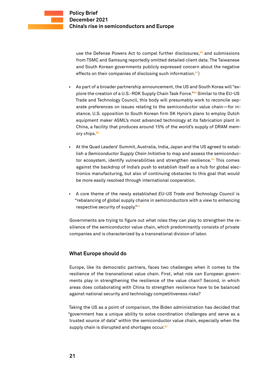<span id="page-20-0"></span>use the Defense Powers Act to compel further disclosures,**<sup>86</sup>** and submissions from TSMC and Samsung reportedly omitted detailed client data. The Taiwanese and South Korean governments publicly expressed concern about the negative effects on their companies of disclosing such information.**<sup>87</sup>**)

- As part of a broader partnership announcement, the US and South Korea will "explore the creation of a U.S.-ROK Supply Chain Task Force."**<sup>88</sup>** Similar to the EU-US Trade and Technology Council, this body will presumably work to reconcile separate preferences on issues relating to the semiconductor value chain—for instance, U.S. opposition to South Korean firm SK Hynix's plans to employ Dutch equipment maker ASML's most advanced technology at its fabrication plant in China, a facility that produces around 15% of the world's supply of DRAM memory chips.**<sup>89</sup>**
- At the Quad Leaders' Summit, Australia, India, Japan and the US agreed to establish a *Semiconductor Supply Chain Initiative* to map and assess the semiconductor ecosystem, identify vulnerabilities and strengthen resilience.**<sup>90</sup>** This comes against the backdrop of India's push to establish itself as a hub for global electronics manufacturing, but also of continuing obstacles to this goal that would be more easily resolved through international cooperation.
- A core theme of the newly established *EU-US Trade and Technology Council* is "rebalancing of global supply chains in semiconductors with a view to enhancing respective security of supply."**<sup>91</sup>**

Governments are trying to figure out what roles they can play to strengthen the resilience of the semiconductor value chain, which predominantly consists of private companies and is characterized by a transnational division of labor.

#### **What Europe should do**

Europe, like its democratic partners, faces two challenges when it comes to the resilience of the transnational value chain. First, what role can European governments play in strengthening the resilience of the value chain? Second, in which areas does collaborating with China to strengthen resilience have to be balanced against national security and technology competitiveness risks?

Taking the US as a point of comparison, the Biden administration has decided that "government has a unique ability to solve coordination challenges and serve as a trusted source of data" within the semiconductor value chain, especially when the supply chain is disrupted and shortages occur.**92**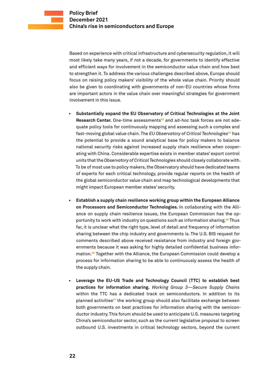Based on experience with critical infrastructure and cybersecurity regulation, it will most likely take many years, if not a decade, for governments to identify effective and efficient ways for involvement in the semiconductor value chain and how best to strengthen it. To address the various challenges described above, Europe should focus on raising policy makers' visibility of the whole value chain. Priority should also be given to coordinating with governments of non-EU countries whose firms are important actors in the value chain over meaningful strategies for government involvement in this issue.

- **• Substantially expand the EU Observatory of Critical Technologies at the Joint Research Center.** One-time assessments**93** and ad-hoc task forces are not adequate policy tools for continuously mapping and assessing such a complex and fast-moving global value chain. The *EU Observatory of Critical Technologies***<sup>94</sup>** has the potential to provide a sound analytical base for policy makers to balance national security risks against increased supply chain resilience when cooperating with China. Considerable expertise exists in member states' export control units that the *Observatory of Critical Technologies* should closely collaborate with. To be of most use to policy makers, the Observatory should have dedicated teams of experts for each critical technology, provide regular reports on the health of the global semiconductor value chain and map technological developments that might impact European member states' security.
- **• Establish a supply chain resilience working group within the European Alliance on Processors and Semiconductor Technologies.** In collaborating with the Alliance on supply chain resilience issues, the European Commission has the opportunity to work with industry on questions such as information sharing.**<sup>95</sup>** Thus far, it is unclear what the right type, level of detail and frequency of information sharing between the chip industry and governments is. The U.S. BIS request for comments described above received resistance from industry and foreign governments because it was asking for highly detailed confidential business information.**<sup>96</sup>** Together with the Alliance, the European Commission could develop a process for information sharing to be able to continuously assess the health of the supply chain.
- **• Leverage the EU-US Trade and Technology Council (TTC) to establish best practices for information sharing.** *Working Group 3—Secure Supply Chains* within the TTC has a dedicated track on semiconductors. In addition to its planned activities**<sup>97</sup>** the working group should also facilitate exchange between both governments on best practices for information sharing with the semiconductor industry. This forum should be used to anticipate U.S. measures targeting China's semiconductor sector, such as the current legislative proposal to screen outbound U.S. investments in critical technology sectors, beyond the current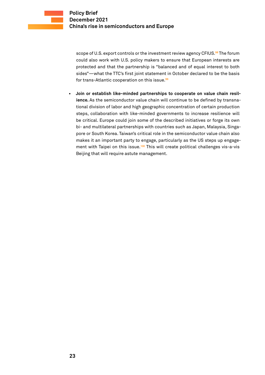

scope of U.S. export controls or the investment review agency CFIUS.**<sup>98</sup>** The forum could also work with U.S. policy makers to ensure that European interests are protected and that the partnership is "balanced and of equal interest to both sides"—what the TTC's first joint statement in October declared to be the basis for trans-Atlantic cooperation on this issue.**<sup>99</sup>**

**• Join or establish like-minded partnerships to cooperate on value chain resilience.** As the semiconductor value chain will continue to be defined by transnational division of labor and high geographic concentration of certain production steps, collaboration with like-minded governments to increase resilience will be critical. Europe could join some of the described initiatives or forge its own bi- and multilateral partnerships with countries such as Japan, Malaysia, Singapore or South Korea. Taiwan's critical role in the semiconductor value chain also makes it an important party to engage, particularly as the US steps up engagement with Taipei on this issue.**<sup>100</sup>** This will create political challenges vis-a-vis Beijing that will require astute management.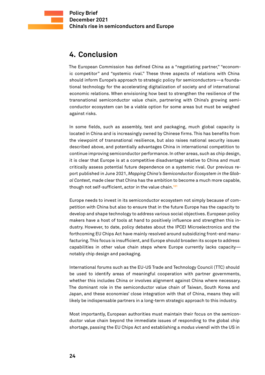## <span id="page-23-0"></span>**4. Conclusion**

The European Commission has defined China as a "negotiating partner," "economic competitor" and "systemic rival." These three aspects of relations with China should inform Europe's approach to strategic policy for semiconductors—a foundational technology for the accelerating digitalization of society and of international economic relations. When envisioning how best to strengthen the resilience of the transnational semiconductor value chain, partnering with China's growing semiconductor ecosystem can be a viable option for some areas but must be weighed against risks.

In some fields, such as assembly, test and packaging, much global capacity is located in China and is increasingly owned by Chinese firms. This has benefits from the viewpoint of transnational resilience, but also raises national security issues described above, and potentially advantages China in international competition to continue improving semiconductor performance. In other areas, such as chip design, it is clear that Europe is at a competitive disadvantage relative to China and must critically assess potential future dependence on a systemic rival. Our previous report published in June 2021, *Mapping China's Semiconductor Ecosystem in the Global Context,* made clear that China has the ambition to become a much more capable, though not self-sufficient, actor in the value chain.**<sup>101</sup>**

Europe needs to invest in its semiconductor ecosystem not simply because of competition with China but also to ensure that in the future Europe has the capacity to develop and shape technology to address various social objectives. European policy makers have a host of tools at hand to positively influence and strengthen this industry. However, to date, policy debates about the IPCEI Microelectronics and the forthcoming EU Chips Act have mainly resolved around subsidizing front-end manufacturing. This focus is insufficient, and Europe should broaden its scope to address capabilities in other value chain steps where Europe currently lacks capacity notably chip design and packaging.

International forums such as the EU-US Trade and Technology Council (TTC) should be used to identify areas of meaningful cooperation with partner governments, whether this includes China or involves alignment against China where necessary. The dominant role in the semiconductor value chain of Taiwan, South Korea and Japan, and these economies' close integration with that of China, means they will likely be indispensable partners in a long-term strategic approach to this industry.

Most importantly, European authorities must maintain their focus on the semiconductor value chain beyond the immediate issues of responding to the global chip shortage, passing the EU Chips Act and establishing a *modus vivendi* with the US in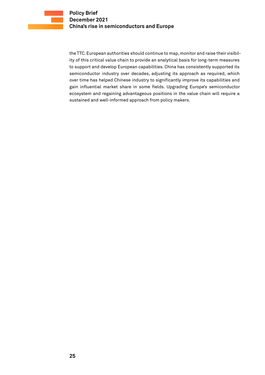the TTC. European authorities should continue to map, monitor and raise their visibility of this critical value chain to provide an analytical basis for long-term measures to support and develop European capabilities. China has consistently supported its semiconductor industry over decades, adjusting its approach as required, which over time has helped Chinese industry to significantly improve its capabilities and gain influential market share in some fields. Upgrading Europe's semiconductor ecosystem and regaining advantageous positions in the value chain will require a sustained and well-informed approach from policy makers.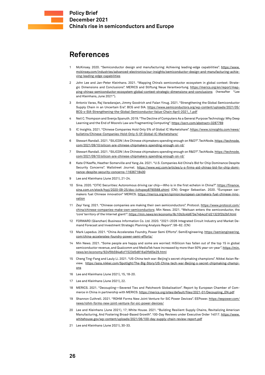### <span id="page-25-0"></span>**References**

- McKinsey. 2020. "Semiconductor design and manufacturing: Achieving leading-edge capabilities". [https://www.](https://www.mckinsey.com/industries/advanced-electronics/our-insights/semiconductor-design-and-manufacturing-achieving-leading-edge-capabilities) [mckinsey.com/industries/advanced-electronics/our-insights/semiconductor-design-and-manufacturing-achie](https://www.mckinsey.com/industries/advanced-electronics/our-insights/semiconductor-design-and-manufacturing-achieving-leading-edge-capabilities)[ving-leading-edge-capabilities](https://www.mckinsey.com/industries/advanced-electronics/our-insights/semiconductor-design-and-manufacturing-achieving-leading-edge-capabilities)
- 2 John Lee and Jan-Peter Kleinhans. 2021. "Mapping China's semiconductor ecosystem in global context: Strategic Dimensions and Conclusions". MERICS and Stiftung Neue Verantwortung. [https://merics.org/en/report/map](https://merics.org/en/report/mapping-chinas-semiconductor-ecosystem-global-context-strategic-dimensions-and-conclusions)[ping-chinas-semiconductor-ecosystem-global-context-strategic-dimensions-and-conclusions](https://merics.org/en/report/mapping-chinas-semiconductor-ecosystem-global-context-strategic-dimensions-and-conclusions) (hereafter "Lee and Kleinhans, June 2021").
- 3 Antonio Varas, Raj Varadarajan, Jimmy Goodrich and Falan Yinug. 2021. "Strengthening the Global Semiconductor Supply Chain in an Uncertain Era". BCG and SIA. [https://www.semiconductors.org/wp-content/uploads/2021/05/](https://www.semiconductors.org/wp-content/uploads/2021/05/BCG-x-SIA-Strengthening-the-Global-Semiconductor-Value-Chain-April-2021_1.pdf) [BCG-x-SIA-Strengthening-the-Global-Semiconductor-Value-Chain-April-2021\\_1.pdf](https://www.semiconductors.org/wp-content/uploads/2021/05/BCG-x-SIA-Strengthening-the-Global-Semiconductor-Value-Chain-April-2021_1.pdf)
- 4 Neil C. Thompson and Svenja Spanuth. 2019. "The Decline of Computers As a General Purpose Technology: Why Deep Learning and the End of Moore's Law are Fragmenting Computing".<https://ssrn.com/abstract=3287769>
- 5 IC Insights. 2021. "Chinese Companies Hold Only 5% of Global IC Marketshare". [https://www.icinsights.com/news/](https://www.icinsights.com/news/bulletins/Chinese-Companies-Hold-Only-5-Of-Global-IC-Marketshare/) [bulletins/Chinese-Companies-Hold-Only-5-Of-Global-IC-Marketshare/](https://www.icinsights.com/news/bulletins/Chinese-Companies-Hold-Only-5-Of-Global-IC-Marketshare/)
- 6 Stewart Randall. 2021. "SILICON | Are Chinese chipmakers spending enough on R&D?". TechNode. [https://technode.](https://technode.com/2021/09/10/silicon-are-chinese-chipmakers-spending-enough-on-rd/) [com/2021/09/10/silicon-are-chinese-chipmakers-spending-enough-on-rd/](https://technode.com/2021/09/10/silicon-are-chinese-chipmakers-spending-enough-on-rd/)
- 7 Stewart Randall. 2021. "SILICON | Are Chinese chipmakers spending enough on R&D?". TechNode. [https://technode.](https://technode.com/2021/09/10/silicon-are-chinese-chipmakers-spending-enough-on-rd/) [com/2021/09/10/silicon-are-chinese-chipmakers-spending-enough-on-rd/](https://technode.com/2021/09/10/silicon-are-chinese-chipmakers-spending-enough-on-rd/)
- 8 Kate O'Keeffe, Heather Somerville and Yang Jie. 2021. "U.S. Companies Aid China's Bid for Chip Dominance Despite Security Concerns". Wallstreet Journal. [https://www.wsj.com/articles/u-s-firms-aid-chinas-bid-for-chip-domi](https://www.wsj.com/articles/u-s-firms-aid-chinas-bid-for-chip-dominance-despite-security-concerns-11636718400)[nance-despite-security-concerns-11636718400](https://www.wsj.com/articles/u-s-firms-aid-chinas-bid-for-chip-dominance-despite-security-concerns-11636718400)
- Lee and Kleinhans (June 2021), 21-24.
- 10 Sina. 2020. "CITIC Securities: Autonomous driving car chip—Who is in the first echelon in China?". [https://finance.](https://finance.sina.com.cn/stock/hyyj/2020-09-25/doc-iivhvpwy8790568.shtml) [sina.com.cn/stock/hyyj/2020-09-25/doc-iivhvpwy8790568.shtml](https://finance.sina.com.cn/stock/hyyj/2020-09-25/doc-iivhvpwy8790568.shtml) (CN); Gregor Sebastian. 2020. "European carmakers fuel Chinese innovation" MERICS. [https://merics.org/en/opinion/european-carmakers-fuel-chinese-inno](https://merics.org/en/opinion/european-carmakers-fuel-chinese-innovation)[vation](https://merics.org/en/opinion/european-carmakers-fuel-chinese-innovation)
- 11 Zeyi Yang. 2021. "Chinese companies are making their own semiconductors". Protocol. [https://www.protocol.com/](https://www.protocol.com/china/chinese-companies-make-own-semiconductors) [china/chinese-companies-make-own-semiconductors;](https://www.protocol.com/china/chinese-companies-make-own-semiconductors) Min News. 2021. "Meituan enters the semiconductor, the 'core' territory of the Internet giant!".<https://min.news/en/economy/8c10b3c4b873e74b4cd1d21323f2b2bf.html>
- 12 FORWARD (Qianzhan) Business Information Co. Ltd. 2020. "2021–2026 Integrated Circuit Industry and Market Demand Forecast and Investment Strategic Planning Analysis Report". 58–62. (CN)
- 13 Mark Lapedus. 2021. "China Accelerates Foundry, Power Semi Efforts". SemiEngineering. [https://semiengineering.](https://semiengineering.com/china-accelerates-foundry-power-semi-efforts/) [com/china-accelerates-foundry-power-semi-efforts/](https://semiengineering.com/china-accelerates-foundry-power-semi-efforts/)
- 14 Min News. 2021. "Some people are happy and some are worried: HiSilicon has fallen out of the top 15 in global semiconductor revenue, and Qualcomm and MediaTek have increased by more than 50% year-on-year". [https://min.](https://min.news/en/economy/924f9b594a6cf1523d5d816a0fb65e29.html) [news/en/economy/924f9b594a6cf1523d5d816a0fb65e29.html](https://min.news/en/economy/924f9b594a6cf1523d5d816a0fb65e29.html)
- 15 Cheng Ting-Fang and Lauly Li. 2021. "US-China tech war: Beijing's secret chipmaking champions". Nikkei Asian Review. [https://asia.nikkei.com/Spotlight/The-Big-Story/US-China-tech-war-Beijing-s-secret-chipmaking-champi](https://asia.nikkei.com/Spotlight/The-Big-Story/US-China-tech-war-Beijing-s-secret-chipmaking-champions)[ons](https://asia.nikkei.com/Spotlight/The-Big-Story/US-China-tech-war-Beijing-s-secret-chipmaking-champions)
- 16 Lee and Kleinhans (June 2021), 15, 18-20.
- 17 Lee and Kleinhans (June 2021), 22.
- 18 MERICS. 2021. "Decoupling—Severed Ties and Patchwork Globalisation". Report by European Chamber of Commerce in China in partnership with MERICS. [https://merics.org/sites/default/files/2021-01/Decoupling\\_EN.pdf](https://merics.org/sites/default/files/2021-01/Decoupling_EN.pdf)
- Shannon Cuthrell. 2021. "ROHM Forms New Joint Venture for SiC Power Devices". EEPower. [https://eepower.com/](https://eepower.com/news/rohm-forms-new-joint-venture-for-sic-power-devices/) [news/rohm-forms-new-joint-venture-for-sic-power-devices/](https://eepower.com/news/rohm-forms-new-joint-venture-for-sic-power-devices/)
- 20 Lee and Kleinhans (June 2021), 17; White House. 2021. "Building Resilient Supply Chains, Revitalizing American Manufacturing, And Fostering Broad-Based Growth". 100-Day Reviews under Executive Order 14017. [https://www.](https://www.whitehouse.gov/wp-content/uploads/2021/06/100-day-supply-chain-review-report.pdf) [whitehouse.gov/wp-content/uploads/2021/06/100-day-supply-chain-review-report.pdf](https://www.whitehouse.gov/wp-content/uploads/2021/06/100-day-supply-chain-review-report.pdf)
- 21 Lee and Kleinhans (June 2021), 30-33.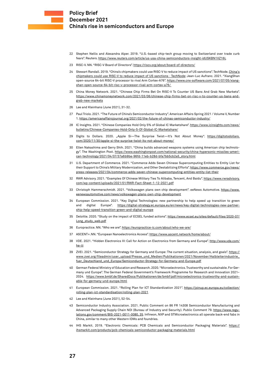- 22 Stephen Nellis and Alexandra Alper. 2019. "U.S.-based chip-tech group moving to Switzerland over trade curb fears". Reuters. <https://www.reuters.com/article/us-usa-china-semiconductors-insight-idUSKBN1XZ16L>
- 23 RISC-V. NN. "RISC-V Board of Directors". <https://riscv.org/about/board-of-directors/>
- 24 Stewart Randall. 2019. "China's chipmakers could use RISC-V to reduce impact of US sanctions". TechNode. [China's](https://technode.com/2019/07/24/chinas-chipmakers-risc-v-sanctions/)  [chipmakers could use RISC-V to reduce impact of US sanctions · TechNode;](https://technode.com/2019/07/24/chinas-chipmakers-risc-v-sanctions/) Jean-Luc Aufranc. 2021. "XiangShan open-source 64-bit RISC-V processor to rival Arm Cortex-A76". [https://www.cnx-software.com/2021/07/05/xiang](https://www.cnx-software.com/2021/07/05/xiangshan-open-source-64-bit-risc-v-processor-rival-arm-cortex-a76/)[shan-open-source-64-bit-risc-v-processor-rival-arm-cortex-a76/](https://www.cnx-software.com/2021/07/05/xiangshan-open-source-64-bit-risc-v-processor-rival-arm-cortex-a76/)
- 25 China Money Network. 2021. "Chinese Chip Firms Bet On RISC-V To Counter US Bans And Grab New Markets". [https://www.chinamoneynetwork.com/2021/03/06/chinese-chip-firms-bet-on-risc-v-to-counter-us-bans-and](https://www.chinamoneynetwork.com/2021/03/06/chinese-chip-firms-bet-on-risc-v-to-counter-us-bans-and-grab-new-markets)[grab-new-markets](https://www.chinamoneynetwork.com/2021/03/06/chinese-chip-firms-bet-on-risc-v-to-counter-us-bans-and-grab-new-markets)
- 26 Lee and Kleinhans (June 2021), 31-32.
- 27 Paul Triolo. 2021. "The Future of China's Semiconductor Industry". American Affairs Spring 2021 / Volume V, Number 1.<https://americanaffairsjournal.org/2021/02/the-future-of-chinas-semiconductor-industry/>
- 28 IC Insights. 2021. "Chinese Companies Hold Only 5% of Global IC Marketshare". [https://www.icinsights.com/news/](https://www.icinsights.com/news/bulletins/Chinese-Companies-Hold-Only-5-Of-Global-IC-Marketshare/) [bulletins/Chinese-Companies-Hold-Only-5-Of-Global-IC-Marketshare/](https://www.icinsights.com/news/bulletins/Chinese-Companies-Hold-Only-5-Of-Global-IC-Marketshare/)
- 29 Digits to Dollars. 2020. "Apple Si-The Surprise Twist-It's Not About Money". [https://digitstodollars.](https://digitstodollars.com/2020/11/30/apple-si-the-surprise-twist-its-not-about-money/) [com/2020/11/30/apple-si-the-surprise-twist-its-not-about-money/](https://digitstodollars.com/2020/11/30/apple-si-the-surprise-twist-its-not-about-money/)
- 30 Ellen Nakashima and Gerry Shih. 2021. "China builds advanced weapons systems using American chip technology". The Washington Post. [https://www.washingtonpost.com/national-security/china-hypersonic-missiles-ameri](https://www.washingtonpost.com/national-security/china-hypersonic-missiles-american-technology/2021/04/07/37a6b9be-96fd-11eb-b28d-bfa7bb5cb2a5_story.html)[can-technology/2021/04/07/37a6b9be-96fd-11eb-b28d-bfa7bb5cb2a5\\_story.html](https://www.washingtonpost.com/national-security/china-hypersonic-missiles-american-technology/2021/04/07/37a6b9be-96fd-11eb-b28d-bfa7bb5cb2a5_story.html)
- 31 U.S. Department of Commerce. 2021. "Commerce Adds Seven Chinese Supercomputing Entities to Entity List for their Support to China's Military Modernization, and Other Destabilizing Efforts". [https://www.commerce.gov/news/](https://www.commerce.gov/news/press-releases/2021/04/commerce-adds-seven-chinese-supercomputing-entities-entity-list-their) [press-releases/2021/04/commerce-adds-seven-chinese-supercomputing-entities-entity-list-their](https://www.commerce.gov/news/press-releases/2021/04/commerce-adds-seven-chinese-supercomputing-entities-entity-list-their)
- 32 RWR Advisory. 2021. "Examples Of Chinese Military Ties To Alibaba, Tencent, And Baidu". [https://www.rwradvisory.](https://www.rwradvisory.com/wp-content/uploads/2021/01/RWR-Fact-Sheet-1-12-2021.pdf) [com/wp-content/uploads/2021/01/RWR-Fact-Sheet-1-12-2021.pdf](https://www.rwradvisory.com/wp-content/uploads/2021/01/RWR-Fact-Sheet-1-12-2021.pdf)
- 33 Christoph Hammerschmidt. 2021. "Volkswagen plans own chip development". eeNews Automotive. [https://www.](https://www.eenewsautomotive.com/news/volkswagen-plans-own-chip-development) [eenewsautomotive.com/news/volkswagen-plans-own-chip-development](https://www.eenewsautomotive.com/news/volkswagen-plans-own-chip-development)
- 34 European Commission. 2021. "Key Digital Technologies: new partnership to help speed up transition to green and digital Europe". [https://digital-strategy.ec.europa.eu/en/news/key-digital-technologies-new-partner](https://digital-strategy.ec.europa.eu/en/news/key-digital-technologies-new-partnership-help-speed-transition-green-and-digital-europe)[ship-help-speed-transition-green-and-digital-europe](https://digital-strategy.ec.europa.eu/en/news/key-digital-technologies-new-partnership-help-speed-transition-green-and-digital-europe)
- 35 Deloitte. 2020. "Study on the impact of ECSEL funded actions". [https://www.ecsel.eu/sites/default/files/2020-07/](https://www.ecsel.eu/sites/default/files/2020-07/Long_study_web.pdf) [Long\\_study\\_web.pdf](https://www.ecsel.eu/sites/default/files/2020-07/Long_study_web.pdf)
- 36 Europractice. NN. "Who we are".<https://europractice-ic.com/about/who-we-are/>
- 37 ASCENT+.NN. "European Nanoelectronics Access". <https://www.ascent.network/home/about/>
- 38 VDE. 2021. "Hidden Electronics III: Call for Action on Electronics from Germany and Europe". [http://www.vde.com/](http://www.vde.com/he-iii) [he-iii](http://www.vde.com/he-iii)
- 39 ZVEI. 2021. "Semiconductor Strategy for Germany and Europe: The current situation, analysis, and goals". [https://](https://www.zvei.org/fileadmin/user_upload/Presse_und_Medien/Publikationen/2021/November/Halbleiterindustrie_fuer_Deutschland_und_Europa/Semiconductor-Strategy-for-Germany-and-Europe.pdf) [www.zvei.org/fileadmin/user\\_upload/Presse\\_und\\_Medien/Publikationen/2021/November/Halbleiterindustrie\\_](https://www.zvei.org/fileadmin/user_upload/Presse_und_Medien/Publikationen/2021/November/Halbleiterindustrie_fuer_Deutschland_und_Europa/Semiconductor-Strategy-for-Germany-and-Europe.pdf) [fuer\\_Deutschland\\_und\\_Europa/Semiconductor-Strategy-for-Germany-and-Europe.pdf](https://www.zvei.org/fileadmin/user_upload/Presse_und_Medien/Publikationen/2021/November/Halbleiterindustrie_fuer_Deutschland_und_Europa/Semiconductor-Strategy-for-Germany-and-Europe.pdf)
- 40 German Federal Ministry of Education and Research. 2020. "Microelectronics. Trustworthy and sustainable. For Germany und Europe". The German Federal Government's Framework Programme for Research and Innovation 2021– 2024. [https://www.bmbf.de/SharedDocs/Publikationen/de/bmbf/pdf/microelectronics-trustworthy-and-sustain](https://www.bmbf.de/SharedDocs/Publikationen/de/bmbf/pdf/microelectronics-trustworthy-and-sustainable-for-germany-und-europe.html)[able-for-germany-und-europe.html](https://www.bmbf.de/SharedDocs/Publikationen/de/bmbf/pdf/microelectronics-trustworthy-and-sustainable-for-germany-und-europe.html)
- 41 European Commission. 2021. "Rolling Plan for ICT Standardization 2021". [https://joinup.ec.europa.eu/collection/](https://joinup.ec.europa.eu/collection/rolling-plan-ict-standardisation/rolling-plan-2021) [rolling-plan-ict-standardisation/rolling-plan-2021](https://joinup.ec.europa.eu/collection/rolling-plan-ict-standardisation/rolling-plan-2021)
- 42 Lee and Kleinhans (June 2021), 52-54.
- 43 Semiconductor Industry Association. 2021. Public Comment on 86 FR 14308 Semiconductor Manufacturing and Advanced Packaging Supply Chain NOI (Bureau of Industry and Security). Public Comment 79. [https://www.regu](https://www.regulations.gov/comment/BIS-2021-0011-0080)[lations.gov/comment/BIS-2021-0011-0080](https://www.regulations.gov/comment/BIS-2021-0011-0080), 35. Infineon, NXP and STMicroelectronics all operate back-end fabs in China, similar to many other Western IDMs and foundries.
- 44 IHS Markit. 2019. "Electronic Chemicals: PCB Chemicals and Semiconductor Packaging Materials". [https://](https://ihsmarkit.com/products/pcb-chemicals-semiconductor-packaging-materials.html) [ihsmarkit.com/products/pcb-chemicals-semiconductor-packaging-materials.html](https://ihsmarkit.com/products/pcb-chemicals-semiconductor-packaging-materials.html)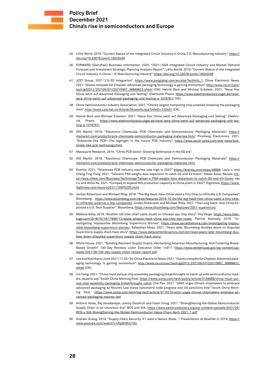- 45 Litho World. 2019. "Current Status of the Integrated Circuit Industry in China ― IC Manufacturing Industry". [https://](https://doi.org/10.33079/jomm.19020409) [doi.org/10.33079/jomm.19020409](https://doi.org/10.33079/jomm.19020409)
- 46 FORWARD (Qianzhan) Business Information. 2020. "2021–2026 Integrated Circuit Industry and Market Demand Forecast and Investment Strategic Planning Analysis Report"; Litho World. 2019. "Current Status of the Integrated Circuit Industry in China—IC Manufacturing Industry". <https://doi.org/10.33079/jomm.19020409>
- 47 JCET Group. 2021."2.5/3D Integration". [https://www.jcetglobal.com/en/site/TechInfo\\_1;](https://www.jcetglobal.com/en/site/TechInfo_1) China Electronic News. 2021. "Giants compete for Chiplets: Advanced packaging technology is gaining momentum" [http://www.ce.cn/cysc/](http://www.ce.cn/cysc/tech/gd2012/202109/07/t20210907_36889622.shtml) [tech/gd2012/202109/07/t20210907\\_36889622.shtml](http://www.ce.cn/cysc/tech/gd2012/202109/07/t20210907_36889622.shtml) (CN); Henrik Bork and Michael Eckstein. 2021. "Neue Ära: China setzt auf Advanced Packaging und Testing". Elektronik Praxis. [https://www.elektronikpraxis.vogel.de/neue](https://www.elektronikpraxis.vogel.de/neue-aera-china-setzt-auf-advanced-packaging-und-testing-a-1016761/)[aera-china-setzt-auf-advanced-packaging-und-testing-a-1016761/](https://www.elektronikpraxis.vogel.de/neue-aera-china-setzt-auf-advanced-packaging-und-testing-a-1016761/) (DE)
- 48 China Semiconductor Industry Association. 2021. "China's largest computing chip unveiled, breaking the packaging limit".<http://www.csia.net.cn/Article/ShowInfo.asp?InfoID=103401>(CN).
- 49 Henrik Bork and Michael Eckstein. 2021. "Neue Ära: China setzt auf Advanced Packaging und Testing". Elektronik Praxis. [https://www.elektronikpraxis.vogel.de/neue-aera-china-setzt-auf-advanced-packaging-und-tes](https://www.elektronikpraxis.vogel.de/neue-aera-china-setzt-auf-advanced-packaging-und-testing-a-1016761/)[ting-a-1016761/](https://www.elektronikpraxis.vogel.de/neue-aera-china-setzt-auf-advanced-packaging-und-testing-a-1016761/)
- 50 IHS Markit. 2019. "Electronic Chemicals: PCB Chemicals and Semiconductor Packaging Materials". [https://](https://ihsmarkit.com/products/pcb-chemicals-semiconductor-packaging-materials.html) [ihsmarkit.com/products/pcb-chemicals-semiconductor-packaging-materials.html;](https://ihsmarkit.com/products/pcb-chemicals-semiconductor-packaging-materials.html) Pinsheng Electronics. 2021. "Substrate-like PCB—The highlight in the future PCB industry". [https://www.quick-pcba.com/pcb-news/sub](https://www.quick-pcba.com/pcb-news/substrate-like-pcb-technology.html)[strate-like-pcb-technology.html](https://www.quick-pcba.com/pcb-news/substrate-like-pcb-technology.html)
- 51 Macquarie Research. 2019. "China PCB sector: Growing dominance in the 5G era".
- 52 IHS Markit. 2019. "Electronic Chemicals: PCB Chemicals and Semiconductor Packaging Materials". [https://](https://ihsmarkit.com/products/pcb-chemicals-semiconductor-packaging-materials.html) [ihsmarkit.com/products/pcb-chemicals-semiconductor-packaging-materials.html](https://ihsmarkit.com/products/pcb-chemicals-semiconductor-packaging-materials.html)
- 53 Evertiq. 2021. "Taiwanese PCB industry reaches new high in 2020". <https://evertiq.com/news/49669>; Lauly Li and Cheng Ting-Fang. 2021. "Taiwan's PSA weighs Asia expansion to catch 5G and EV boom". Nikkei Asian Review. [htt](https://asia.nikkei.com/Business/Technology/Taiwan-s-PSA-weighs-Asia-expansion-to-catch-5G-and-EV-boom)[ps://asia.nikkei.com/Business/Technology/Taiwan-s-PSA-weighs-Asia-expansion-to-catch-5G-and-EV-boom;](https://asia.nikkei.com/Business/Technology/Taiwan-s-PSA-weighs-Asia-expansion-to-catch-5G-and-EV-boom) Jay Liu and Willis Ke. 2021. "Compeq to expand HDI production capacity at China plant in 2022". Digitimes. [https://www.](https://www.digitimes.com/news/a20211105PD205.html) [digitimes.com/news/a20211105PD205.html](https://www.digitimes.com/news/a20211105PD205.html)
- 54 Jordan Robertson and Michael Riley. 2018. "The Big Hack: How China Used a Tiny Chip to Infiltrate U.S. Companies". Bloomberg. [https://www.bloomberg.com/news/features/2018-10-04/the-big-hack-how-china-used-a-tiny-chip](https://www.bloomberg.com/news/features/2018-10-04/the-big-hack-how-china-used-a-tiny-chip-to-infiltrate-america-s-top-companies)[to-infiltrate-america-s-top-companies;](https://www.bloomberg.com/news/features/2018-10-04/the-big-hack-how-china-used-a-tiny-chip-to-infiltrate-america-s-top-companies) Jordan Robertson and Michael Riley. 2021. "The Long Hack: How China Exploited a U.S. Tech Supplier". Bloomberg.<https://www.bloomberg.com/features/2021-supermicro/>
- 55 Makena Kelly. 2018. "Another US intel chief casts doubt on Chinese spy chip story". The Verge. [https://www.thev](https://www.theverge.com/2018/10/19/17999712/apple-amazon-hack-china-spy-chip-dan-coats)[erge.com/2018/10/19/17999712/apple-amazon-hack-china-spy-chip-dan-coats](https://www.theverge.com/2018/10/19/17999712/apple-amazon-hack-china-spy-chip-dan-coats); Patrick Kennedy. 2018. "Investigating Implausible Bloomberg Supermicro Stories". [https://www.servethehome.com/investigating-implau](https://www.servethehome.com/investigating-implausible-bloomberg-supermicro-stories/)[sible-bloomberg-supermicro-stories/;](https://www.servethehome.com/investigating-implausible-bloomberg-supermicro-stories/) Sebastian Moss. 2021. "Years later, Bloomberg doubles down on disputed Supermicro supply chain hack story". [https://www.datacenterdynamics.com/en/news/years-later-bloomberg-dou](https://www.datacenterdynamics.com/en/news/years-later-bloomberg-doubles-down-disputed-supermicro-supply-chain-hack-story/)[bles-down-disputed-supermicro-supply-chain-hack-story/](https://www.datacenterdynamics.com/en/news/years-later-bloomberg-doubles-down-disputed-supermicro-supply-chain-hack-story/)
- 56 White House. 2021. "Building Resilient Supply Chains, Revitalizing American Manufacturing, And Fostering Broad-Based Growth". 100-Day Reviews under Executive Order 14017. [https://www.whitehouse.gov/wp-content/up](https://www.whitehouse.gov/wp-content/uploads/2021/06/100-day-supply-chain-review-report.pdf)[loads/2021/06/100-day-supply-chain-review-report.pdf](https://www.whitehouse.gov/wp-content/uploads/2021/06/100-day-supply-chain-review-report.pdf)
- 57 Lee and Kleinhans (June 2021) 17, 53–54; China Electronic News. 2021. "Giants compete for Chiplets: Advanced packaging technology is gaining momentum". [http://www.ce.cn/cysc/tech/gd2012/202109/07/t20210907\\_36889622.](http://www.ce.cn/cysc/tech/gd2012/202109/07/t20210907_36889622.shtml) [shtml](http://www.ce.cn/cysc/tech/gd2012/202109/07/t20210907_36889622.shtml) (CN).
- 58 Iris Deng. 2021. "China must pursue chip assembly, packaging breakthroughs to catch up with semiconductor leaders, experts say" South China Morning Post. [https://www.scmp.com/tech/policy/article/3136688/china-must-pur](https://www.scmp.com/tech/policy/article/3136688/china-must-pursue-chip-assembly-packaging-breakthroughs-catch)[sue-chip-assembly-packaging-breakthroughs-catch;](https://www.scmp.com/tech/policy/article/3136688/china-must-pursue-chip-assembly-packaging-breakthroughs-catch) Che Pan. 2021. "SMIC urges China's chipmakers to embrace advanced packaging as Moore's Law slows nanometre node progress and US sanctions bite". South China Morning Post. [https://www.scmp.com/tech/big-tech/article/3119174/smic-urges-chinas-chipmakers-embrace-ad](https://www.scmp.com/tech/big-tech/article/3119174/smic-urges-chinas-chipmakers-embrace-advanced-packaging-moores-law)[vanced-packaging-moores-law](https://www.scmp.com/tech/big-tech/article/3119174/smic-urges-chinas-chipmakers-embrace-advanced-packaging-moores-law)
- 59 Antonio Varas, Raj Varadarajan, Jimmy Goodrich and Falan Yinug. 2021. "Strengthening the Global Semiconductor Supply Chain in an Uncertain Era". BCG and SIA. [https://www.semiconductors.org/wp-content/uploads/2021/05/](https://www.semiconductors.org/wp-content/uploads/2021/05/BCG-x-SIA-Strengthening-the-Global-Semiconductor-Value-Chain-April-2021_1.pdf) [BCG-x-SIA-Strengthening-the-Global-Semiconductor-Value-Chain-April-2021\\_1.pdf](https://www.semiconductors.org/wp-content/uploads/2021/05/BCG-x-SIA-Strengthening-the-Global-Semiconductor-Value-Chain-April-2021_1.pdf)
- 60 Andrew Huang. 2019. "Supply Chain Security: If I were a Nation State...". Presentation at BlueHat IL 2019. [https://](https://www.youtube.com/watch?v=RqQhWitJ1As) [www.youtube.com/watch?v=RqQhWitJ1As](https://www.youtube.com/watch?v=RqQhWitJ1As)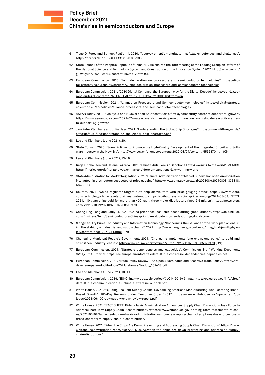- 61 Tiago D. Perez and Samuel Pagliarini. 2020. "A survey on split manufacturing: Attacks, defenses, and challenges". <https://doi.org/10.1109/ACCESS.2020.3029339>
- 62 State Council of the People's Republic of China. 'Liu He chaired the 18th meeting of the Leading Group on Reform of the National Science and Technology System and Construction of the Innovation System.' 2021 [http://www.gov.cn/](http://www.gov.cn/guowuyuan/2021-05/14/content_5606512.htm) [guowuyuan/2021-05/14/content\\_5606512.htm](http://www.gov.cn/guowuyuan/2021-05/14/content_5606512.htm) (CN).
- 63 European Commission. 2020. "Joint declaration on processors and semiconductor technologies". [https://digi](https://digital-strategy.ec.europa.eu/en/library/joint-declaration-processors-and-semiconductor-technologies)[tal-strategy.ec.europa.eu/en/library/joint-declaration-processors-and-semiconductor-technologies](https://digital-strategy.ec.europa.eu/en/library/joint-declaration-processors-and-semiconductor-technologies)
- 64 European Commission. 2021. "2030 Digital Compass: the European way for the Digital Decade". [https://eur-lex.eu](https://eur-lex.europa.eu/legal-content/EN/TXT/HTML/?uri=CELEX:52021DC0118&from=en)[ropa.eu/legal-content/EN/TXT/HTML/?uri=CELEX:52021DC0118&from=en](https://eur-lex.europa.eu/legal-content/EN/TXT/HTML/?uri=CELEX:52021DC0118&from=en)
- 65 European Commission. 2021. "Alliance on Processors and Semiconductor technologies". [https://digital-strategy.](https://digital-strategy.ec.europa.eu/en/policies/alliance-processors-and-semiconductor-technologies) [ec.europa.eu/en/policies/alliance-processors-and-semiconductor-technologies](https://digital-strategy.ec.europa.eu/en/policies/alliance-processors-and-semiconductor-technologies)
- 66 ASEAN Today. 2012. "Malaysia and Huawei open Southeast Asia's first cybersecurity center to support 5G growth". [https://www.aseantoday.com/2021/02/malaysia-and-huawei-open-southeast-asias-first-cybersecurity-center](https://www.aseantoday.com/2021/02/malaysia-and-huawei-open-southeast-asias-first-cybersecurity-center-to-support-5g-growth/)[to-support-5g-growth/](https://www.aseantoday.com/2021/02/malaysia-and-huawei-open-southeast-asias-first-cybersecurity-center-to-support-5g-growth/)
- 67 Jan-Peter Kleinhans and Julia Hess. 2021. "Understanding the Global Chip Shortages". [https://www.stiftung-nv.de/](https://www.stiftung-nv.de/sites/default/files/understanding_the_global_chip_shortages.pdf) [sites/default/files/understanding\\_the\\_global\\_chip\\_shortages.pdf](https://www.stiftung-nv.de/sites/default/files/understanding_the_global_chip_shortages.pdf)
- 68 Lee and Kleinhans (June 2021), 20.
- 69 State Council. 2020. "Some Policies to Promote the High-Quality Development of the Integrated Circuit and Software Industry in the New Era". [http://www.gov.cn/zhengce/content/2020-08/04/content\\_5532370.htm](http://www.gov.cn/zhengce/content/2020-08/04/content_5532370.htm) (CN)
- 70 Lee and Kleinhans (June 2021), 13-16.
- 71 Katja Drinhausen and Helena Lagarda. 2021. "China's Anti-Foreign Sanctions Law: A warning to the world". MERICS. <https://merics.org/de/kurzanalyse/chinas-anti-foreign-sanctions-law-warning-world>
- 72 State Administration for Market Regulation. 2021. "General Administration of Market Supervision opens investigation into autochip distributors suspected of price gouging". [http://www.samr.gov.cn/xw/zj/202108/t20210803\\_333318.](http://www.samr.gov.cn/xw/zj/202108/t20210803_333318.html) [html](http://www.samr.gov.cn/xw/zj/202108/t20210803_333318.html) (CN)
- 73 Reuters. 2021. "China regulator targets auto chip distributors with price-gouging probe". [https://www.reuters.](https://www.reuters.com/technology/china-regulator-investigate-auto-chip-distributors-suspicion-price-gouging-2021-08-03/) [com/technology/china-regulator-investigate-auto-chip-distributors-suspicion-price-gouging-2021-08-03/](https://www.reuters.com/technology/china-regulator-investigate-auto-chip-distributors-suspicion-price-gouging-2021-08-03/); STCN. 2021. "10 yuan chips sold for more than 400 yuan, three major distributors fined 2.5 million". [https://news.stcn.](https://news.stcn.com/sd/202109/t20210928_3720851.html) [com/sd/202109/t20210928\\_3720851.html](https://news.stcn.com/sd/202109/t20210928_3720851.html)
- 74 Cheng Ting-Fang and Lauly Li. 2021. "China prioritizes local chip needs during global crunch". [https://asia.nikkei.](https://asia.nikkei.com/Business/Tech/Semiconductors/China-prioritizes-local-chip-needs-during-global-crunch) [com/Business/Tech/Semiconductors/China-prioritizes-local-chip-needs-during-global-crunch](https://asia.nikkei.com/Business/Tech/Semiconductors/China-prioritizes-local-chip-needs-during-global-crunch)
- 75 'Jiangmen City Bureau of Industry and Information Technology. "Concerning the issuance of the 'work plan on ensuring the stability of industrial and supply chains'". 2021. [http://www.jiangmen.gov.cn/bmpd/jmsgyhxxhj/ywfl/ghyyx](http://www.jiangmen.gov.cn/bmpd/jmsgyhxxhj/ywfl/ghyyxjck/content/post_2071311.html)[jck/content/post\\_2071311.html](http://www.jiangmen.gov.cn/bmpd/jmsgyhxxhj/ywfl/ghyyxjck/content/post_2071311.html) (CN)
- 76 Chongqing Municipal People's Government. 2021. "Chongqing implements 'one chain, one policy' to build and strengthen (industry) chains". [http://www.cq.gov.cn/zwxx/jrcq/202110/t20211028\\_9898592.html](http://www.cq.gov.cn/zwxx/jrcq/202110/t20211028_9898592.html) (CN)
- 77 European Commission. 2021. "Strategic dependencies and capacities". Commission Staff Working Document. SWD(2021) 352 final.<https://ec.europa.eu/info/sites/default/files/strategic-dependencies-capacities.pdf>
- 78 European Commission. 2021. "Trade Policy Review—An Open, Sustainable and Assertive Trade Policy". [https://tra](https://trade.ec.europa.eu/doclib/docs/2021/february/tradoc_159438.pdf)[de.ec.europa.eu/doclib/docs/2021/february/tradoc\\_159438.pdf](https://trade.ec.europa.eu/doclib/docs/2021/february/tradoc_159438.pdf)
- 79 Lee and Kleinhans (June 2021), 10–11.
- 80 European Commission. 2019. "EU-China-A strategic outlook". JOIN(2019) 5 final. [https://ec.europa.eu/info/sites/](https://ec.europa.eu/info/sites/default/files/communication-eu-china-a-strategic-outlook.pdf) [default/files/communication-eu-china-a-strategic-outlook.pdf](https://ec.europa.eu/info/sites/default/files/communication-eu-china-a-strategic-outlook.pdf)
- 81 White House. 2021. "Building Resilient Supply Chains, Revitalizing American Manufacturing, And Fostering Broad-Based Growth". 100-Day Reviews under Executive Order 14017. [https://www.whitehouse.gov/wp-content/up](https://www.whitehouse.gov/wp-content/uploads/2021/06/100-day-supply-chain-review-report.pdf)[loads/2021/06/100-day-supply-chain-review-report.pdf](https://www.whitehouse.gov/wp-content/uploads/2021/06/100-day-supply-chain-review-report.pdf)
- 82 White House. 2021. "FACT SHEET: Biden-Harris Administration Announces Supply Chain Disruptions Task Force to Address Short-Term Supply Chain Discontinuities". [https://www.whitehouse.gov/briefing-room/statements-releas](https://www.whitehouse.gov/briefing-room/statements-releases/2021/06/08/fact-sheet-biden-harris-administration-announces-supply-chain-disruptions-task-force-to-address-short-term-supply-chain-discontinuities/)[es/2021/06/08/fact-sheet-biden-harris-administration-announces-supply-chain-disruptions-task-force-to-ad](https://www.whitehouse.gov/briefing-room/statements-releases/2021/06/08/fact-sheet-biden-harris-administration-announces-supply-chain-disruptions-task-force-to-address-short-term-supply-chain-discontinuities/)[dress-short-term-supply-chain-discontinuities/](https://www.whitehouse.gov/briefing-room/statements-releases/2021/06/08/fact-sheet-biden-harris-administration-announces-supply-chain-disruptions-task-force-to-address-short-term-supply-chain-discontinuities/)
- 83 White House. 2021. "When the Chips Are Down: Preventing and Addressing Supply Chain Disruptions". [https://www.](https://www.whitehouse.gov/briefing-room/blog/2021/09/23/when-the-chips-are-down-preventing-and-addressing-supply-chain-disruptions/) [whitehouse.gov/briefing-room/blog/2021/09/23/when-the-chips-are-down-preventing-and-addressing-supply](https://www.whitehouse.gov/briefing-room/blog/2021/09/23/when-the-chips-are-down-preventing-and-addressing-supply-chain-disruptions/)[chain-disruptions/](https://www.whitehouse.gov/briefing-room/blog/2021/09/23/when-the-chips-are-down-preventing-and-addressing-supply-chain-disruptions/)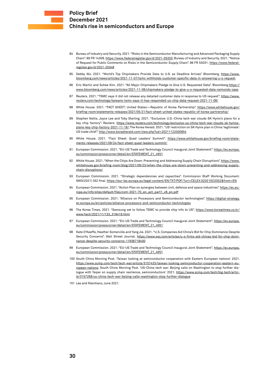- 84 Bureau of Industry and Security. 2021. "Risks in the Semiconductor Manufacturing and Advanced Packaging Supply Chain". 86 FR 14308. [https://www.federalregister.gov/d/2021-05353;](https://www.federalregister.gov/d/2021-05353) Bureau of Industry and Security. 2021. "Notice of Request for Public Comments on Risks in the Semiconductor Supply Chain". 86 FR 53031. [https://www.federal](https://www.federalregister.gov/d/2021-20348)[register.gov/d/2021-20348](https://www.federalregister.gov/d/2021-20348)
- 85 Debby Wu. 2021. "World's Top Chipmakers Provide Data to U.S. as Deadline Arrives" Bloomberg. [https://www.](https://www.bloomberg.com/news/articles/2021-11-07/tsmc-withholds-customer-specific-data-in-answering-u-s-request) [bloomberg.com/news/articles/2021-11-07/tsmc-withholds-customer-specific-data-in-answering-u-s-request](https://www.bloomberg.com/news/articles/2021-11-07/tsmc-withholds-customer-specific-data-in-answering-u-s-request)
- 86 Eric Martin and Sohee Kim. 2021. "All Major Chipmakers Pledge to Give U.S. Requested Data". Bloomberg[.https://](https://www.bloomberg.com/news/articles/2021-11-08/chipmakers-pledge-to-give-u-s-requested-data-raimondo-says) [www.bloomberg.com/news/articles/2021-11-08/chipmakers-pledge-to-give-u-s-requested-data-raimondo-says](https://www.bloomberg.com/news/articles/2021-11-08/chipmakers-pledge-to-give-u-s-requested-data-raimondo-says)
- 87 Reuters. 2021. "TSMC says it did not release any detailed customer data in response to US request". [https://www.](https://www.reuters.com/technology/taiwans-tsmc-says-it-has-responded-us-chip-data-request-2021-11-08/) [reuters.com/technology/taiwans-tsmc-says-it-has-responded-us-chip-data-request-2021-11-08/](https://www.reuters.com/technology/taiwans-tsmc-says-it-has-responded-us-chip-data-request-2021-11-08/)
- 88 White House. 2021. "FACT SHEET: United States-Republic of Korea Partnership". [https://www.whitehouse.gov/](https://www.whitehouse.gov/briefing-room/statements-releases/2021/05/21/fact-sheet-united-states-republic-of-korea-partnership/) [briefing-room/statements-releases/2021/05/21/fact-sheet-united-states-republic-of-korea-partnership/](https://www.whitehouse.gov/briefing-room/statements-releases/2021/05/21/fact-sheet-united-states-republic-of-korea-partnership/)
- 89 Stephen Nellis, Joyce Lee and Toby Sterling. 2021. "Exclusive: U.S.-China tech war clouds SK Hynix's plans for a key chip factory". Reuters. [https://www.reuters.com/technology/exclusive-us-china-tech-war-clouds-sk-hynixs](https://www.reuters.com/technology/exclusive-us-china-tech-war-clouds-sk-hynixs-plans-key-chip-factory-2021-11-18/)[plans-key-chip-factory-2021-11-18/](https://www.reuters.com/technology/exclusive-us-china-tech-war-clouds-sk-hynixs-plans-key-chip-factory-2021-11-18/); The Korea Herald. 2021. "US' restriction on SK Hynix plan in China 'legitimate': US trade chief".<http://www.koreaherald.com/view.php?ud=20211122000854>
- 90 White House. 2021. "Fact Sheet: Quad Leaders' Summit". [https://www.whitehouse.gov/briefing-room/state](https://www.whitehouse.gov/briefing-room/statements-releases/2021/09/24/fact-sheet-quad-leaders-summit/)[ments-releases/2021/09/24/fact-sheet-quad-leaders-summit/](https://www.whitehouse.gov/briefing-room/statements-releases/2021/09/24/fact-sheet-quad-leaders-summit/)
- 91 European Commission. 2021. "EU-US Trade and Technology Council Inaugural Joint Statement". [https://ec.europa.](https://ec.europa.eu/commission/presscorner/detail/en/STATEMENT_21_4951) [eu/commission/presscorner/detail/en/STATEMENT\\_21\\_4951](https://ec.europa.eu/commission/presscorner/detail/en/STATEMENT_21_4951)
- 92 White House. 2021. "When the Chips Are Down: Preventing and Addressing Supply Chain Disruptions". [https://www.](https://www.whitehouse.gov/briefing-room/blog/2021/09/23/when-the-chips-are-down-preventing-and-addressing-supply-chain-disruptions/) [whitehouse.gov/briefing-room/blog/2021/09/23/when-the-chips-are-down-preventing-and-addressing-supply](https://www.whitehouse.gov/briefing-room/blog/2021/09/23/when-the-chips-are-down-preventing-and-addressing-supply-chain-disruptions/)[chain-disruptions/](https://www.whitehouse.gov/briefing-room/blog/2021/09/23/when-the-chips-are-down-preventing-and-addressing-supply-chain-disruptions/)
- 93 European Commission. 2021. "Strategic dependencies and capacities". Commission Staff Working Document. SWD(2021) 352 final.<https://eur-lex.europa.eu/legal-content/EN/TXT/PDF/?uri=CELEX:52021SC0352&from=EN>
- 94 European Commission. 2021. "Action Plan on synergies between civil, defence and space industries". [https://ec.eu](https://ec.europa.eu/info/sites/default/files/com-2021-70_en_act_part1_v8_en.pdf)[ropa.eu/info/sites/default/files/com-2021-70\\_en\\_act\\_part1\\_v8\\_en.pdf](https://ec.europa.eu/info/sites/default/files/com-2021-70_en_act_part1_v8_en.pdf)
- 95 European Commission. 2021. "Alliance on Processors and Semiconductor technologies". [https://digital-strategy.](https://digital-strategy.ec.europa.eu/en/policies/alliance-processors-and-semiconductor-technologies) [ec.europa.eu/en/policies/alliance-processors-and-semiconductor-technologies](https://digital-strategy.ec.europa.eu/en/policies/alliance-processors-and-semiconductor-technologies)
- 96 The Korea Times. 2021. "Samsung set to follow TSMC to provide chip info to US". [https://www.koreatimes.co.kr/](https://www.koreatimes.co.kr/www/tech/2021/11/133_318419.html) [www/tech/2021/11/133\\_318419.html](https://www.koreatimes.co.kr/www/tech/2021/11/133_318419.html)
- 97 European Commission. 2021. "EU-US Trade and Technology Council Inaugural Joint Statement". [https://ec.europa.](https://ec.europa.eu/commission/presscorner/detail/en/STATEMENT_21_4951) [eu/commission/presscorner/detail/en/STATEMENT\\_21\\_4951](https://ec.europa.eu/commission/presscorner/detail/en/STATEMENT_21_4951)
- 98 Kate O'Keeffe, Heather Somerville and Yang Jie. 2021. "U.S. Companies Aid China's Bid for Chip Dominance Despite Security Concerns". Wall Street Journal. [https://www.wsj.com/articles/u-s-firms-aid-chinas-bid-for-chip-domi](https://www.wsj.com/articles/u-s-firms-aid-chinas-bid-for-chip-dominance-despite-security-concerns-11636718400)[nance-despite-security-concerns-11636718400](https://www.wsj.com/articles/u-s-firms-aid-chinas-bid-for-chip-dominance-despite-security-concerns-11636718400)
- 99 European Commission. 2021. "EU-US Trade and Technology Council Inaugural Joint Statement". [https://ec.europa.](https://ec.europa.eu/commission/presscorner/detail/en/STATEMENT_21_4951) [eu/commission/presscorner/detail/en/STATEMENT\\_21\\_4951](https://ec.europa.eu/commission/presscorner/detail/en/STATEMENT_21_4951)
- 100 South China Morning Post. 'Taiwan looking at semiconductor cooperation with Eastern European nations'. 2021. [https://www.scmp.com/tech/tech-war/article/3157433/taiwan-looking-semiconductor-cooperation-eastern-eu](https://www.scmp.com/tech/tech-war/article/3157433/taiwan-looking-semiconductor-cooperation-eastern-european-nations)[ropean-nations;](https://www.scmp.com/tech/tech-war/article/3157433/taiwan-looking-semiconductor-cooperation-eastern-european-nations) South China Morning Post. 'US-China tech war: Beijing calls on Washington to stop further dialogue with Taipei on supply chain resilience, semiconductors'. 2021. [https://www.scmp.com/tech/big-tech/artic](https://www.scmp.com/tech/big-tech/article/3157268/us-china-tech-war-beijing-calls-washington-stop-further-dialogue)[le/3157268/us-china-tech-war-beijing-calls-washington-stop-further-dialogue](https://www.scmp.com/tech/big-tech/article/3157268/us-china-tech-war-beijing-calls-washington-stop-further-dialogue)
- 101 Lee and Kleinhans, June 2021.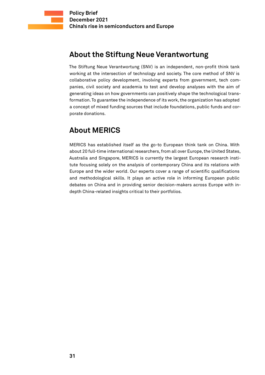# **About the Stiftung Neue Verantwortung**

The Stiftung Neue Verantwortung (SNV) is an independent, non-profit think tank working at the intersection of technology and society. The core method of SNV is collaborative policy development, involving experts from government, tech companies, civil society and academia to test and develop analyses with the aim of generating ideas on how governments can positively shape the technological transformation. To guarantee the independence of its work, the organization has adopted a concept of mixed funding sources that include foundations, public funds and corporate donations.

# **About MERICS**

MERICS has established itself as the go-to European think tank on China. With about 20 full-time international researchers, from all over Europe, the United States, Australia and Singapore, MERICS is currently the largest European research institute focusing solely on the analysis of contemporary China and its relations with Europe and the wider world. Our experts cover a range of scientific qualifications and methodological skills. It plays an active role in informing European public debates on China and in providing senior decision-makers across Europe with indepth China-related insights critical to their portfolios.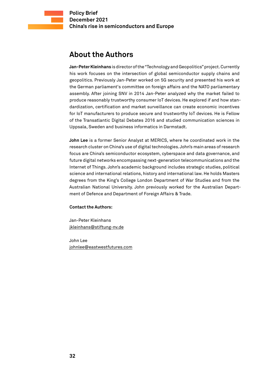## **About the Authors**

**Jan-Peter Kleinhans** is director of the "Technology and Geopolitics" project. Currently his work focuses on the intersection of global semiconductor supply chains and geopolitics. Previously Jan-Peter worked on 5G security and presented his work at the German parliament's committee on foreign affairs and the NATO parliamentary assembly. After joining SNV in 2014 Jan-Peter analyzed why the market failed to produce reasonably trustworthy consumer IoT devices. He explored if and how standardization, certification and market surveillance can create economic incentives for IoT manufacturers to produce secure and trustworthy IoT devices. He is Fellow of the Transatlantic Digital Debates 2016 and studied communication sciences in Uppsala, Sweden and business informatics in Darmstadt.

**John Lee** is a former Senior Analyst at MERICS, where he coordinated work in the research cluster on China's use of digital technologies. John's main areas of research focus are China's semiconductor ecosystem, cyberspace and data governance, and future digital networks encompassing next-generation telecommunications and the Internet of Things. John's academic background includes strategic studies, political science and international relations, history and international law. He holds Masters degrees from the King's College London Department of War Studies and from the Australian National University. John previously worked for the Australian Department of Defence and Department of Foreign Affairs & Trade.

#### **Contact the Authors:**

Jan-Peter Kleinhans [jkleinhans@stiftung-nv.de](mailto:jkleinhans%40stiftung-nv.de?subject=)

John Lee [johnlee@eastwestfutures.com](mailto:johnlee%40eastwestfutures.com?subject=)